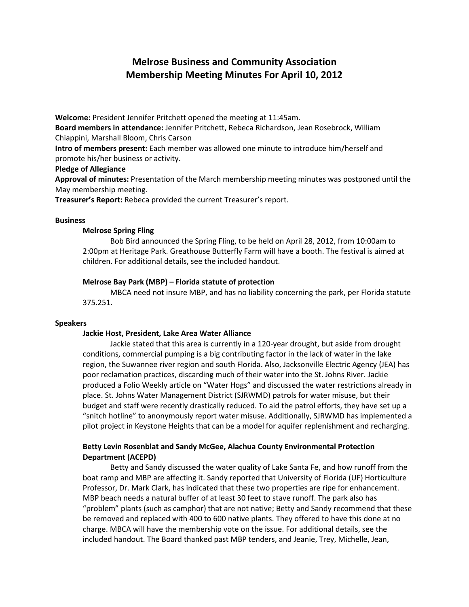# Melrose Business and Community Association Membership Meeting Minutes For April 10, 2012

Welcome: President Jennifer Pritchett opened the meeting at 11:45am.

Board members in attendance: Jennifer Pritchett, Rebeca Richardson, Jean Rosebrock, William Chiappini, Marshall Bloom, Chris Carson

Intro of members present: Each member was allowed one minute to introduce him/herself and promote his/her business or activity.

## Pledge of Allegiance

Approval of minutes: Presentation of the March membership meeting minutes was postponed until the May membership meeting.

Treasurer's Report: Rebeca provided the current Treasurer's report.

### Business

### Melrose Spring Fling

Bob Bird announced the Spring Fling, to be held on April 28, 2012, from 10:00am to 2:00pm at Heritage Park. Greathouse Butterfly Farm will have a booth. The festival is aimed at children. For additional details, see the included handout.

## Melrose Bay Park (MBP) – Florida statute of protection

MBCA need not insure MBP, and has no liability concerning the park, per Florida statute 375.251.

#### Speakers

#### Jackie Host, President, Lake Area Water Alliance

Jackie stated that this area is currently in a 120-year drought, but aside from drought conditions, commercial pumping is a big contributing factor in the lack of water in the lake region, the Suwannee river region and south Florida. Also, Jacksonville Electric Agency (JEA) has poor reclamation practices, discarding much of their water into the St. Johns River. Jackie produced a Folio Weekly article on "Water Hogs" and discussed the water restrictions already in place. St. Johns Water Management District (SJRWMD) patrols for water misuse, but their budget and staff were recently drastically reduced. To aid the patrol efforts, they have set up a "snitch hotline" to anonymously report water misuse. Additionally, SJRWMD has implemented a pilot project in Keystone Heights that can be a model for aquifer replenishment and recharging.

# Betty Levin Rosenblat and Sandy McGee, Alachua County Environmental Protection Department (ACEPD)

Betty and Sandy discussed the water quality of Lake Santa Fe, and how runoff from the boat ramp and MBP are affecting it. Sandy reported that University of Florida (UF) Horticulture Professor, Dr. Mark Clark, has indicated that these two properties are ripe for enhancement. MBP beach needs a natural buffer of at least 30 feet to stave runoff. The park also has "problem" plants (such as camphor) that are not native; Betty and Sandy recommend that these be removed and replaced with 400 to 600 native plants. They offered to have this done at no charge. MBCA will have the membership vote on the issue. For additional details, see the included handout. The Board thanked past MBP tenders, and Jeanie, Trey, Michelle, Jean,